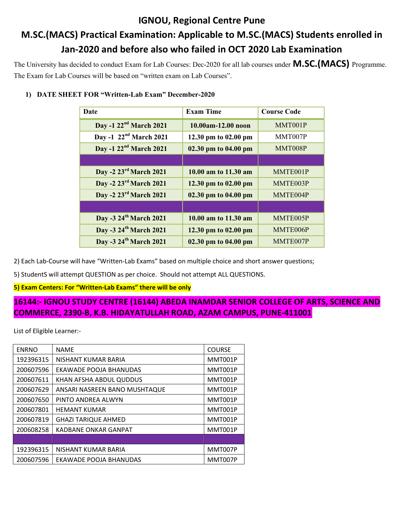## IGNOU, Regional Centre Pune M.SC.(MACS) Practical Examination: Applicable to M.SC.(MACS) Students enrolled in Jan-2020 and before also who failed in OCT 2020 Lab Examination

The University has decided to conduct Exam for Lab Courses: Dec-2020 for all lab courses under **M.SC.**(MACS) Programme. The Exam for Lab Courses will be based on "written exam on Lab Courses".

|  |  |  | 1) DATE SHEET FOR "Written-Lab Exam" December-2020 |  |
|--|--|--|----------------------------------------------------|--|
|--|--|--|----------------------------------------------------|--|

| Date                               | <b>Exam Time</b>     | <b>Course Code</b> |
|------------------------------------|----------------------|--------------------|
| Day -1 22 <sup>nd</sup> March 2021 | 10.00am-12.00 noon   | MMT001P            |
| Day -1 22 <sup>nd</sup> March 2021 | 12.30 pm to 02.00 pm | MMT007P            |
| Day -1 22 <sup>nd</sup> March 2021 | 02.30 pm to 04.00 pm | MMT008P            |
|                                    |                      |                    |
| Day -2 23rd March 2021             | 10.00 am to 11.30 am | MMTE001P           |
| Day -2 23rd March 2021             | 12.30 pm to 02.00 pm | MMTE003P           |
| Day -2 23rd March 2021             | 02.30 pm to 04.00 pm | MMTE004P           |
|                                    |                      |                    |
| Day -3 24 <sup>th</sup> March 2021 | 10.00 am to 11.30 am | MMTE005P           |
| Day -3 24 <sup>th</sup> March 2021 | 12.30 pm to 02.00 pm | MMTE006P           |
| Day -3 24th March 2021             | 02.30 pm to 04.00 pm | MMTE007P           |

2) Each Lab-Course will have "Written-Lab Exams" based on multiple choice and short answer questions;

5) StudentS will attempt QUESTION as per choice. Should not attempt ALL QUESTIONS.

5) Exam Centers: For "Written-Lab Exams" there will be only

## 16144:- IGNOU STUDY CENTRE (16144) ABEDA INAMDAR SENIOR COLLEGE OF ARTS, SCIENCE AND COMMERCE, 2390-B, K.B. HIDAYATULLAH ROAD, AZAM CAMPUS, PUNE-411001

List of Eligible Learner:-

| <b>ENRNO</b> | <b>NAME</b>                   | <b>COURSE</b> |
|--------------|-------------------------------|---------------|
| 192396315    | NISHANT KUMAR BARIA           | MMT001P       |
| 200607596    | EKAWADE POOJA BHANUDAS        | MMT001P       |
| 200607611    | KHAN AFSHA ABDUL QUDDUS       | MMT001P       |
| 200607629    | ANSARI NASREEN BANO MUSHTAQUE | MMT001P       |
| 200607650    | PINTO ANDREA ALWYN            | MMT001P       |
| 200607801    | <b>HEMANT KUMAR</b>           | MMT001P       |
| 200607819    | <b>GHAZI TARIQUE AHMED</b>    | MMT001P       |
| 200608258    | KADBANE ONKAR GANPAT          | MMT001P       |
|              |                               |               |
| 192396315    | NISHANT KUMAR BARIA           | MMT007P       |
| 200607596    | EKAWADE POOJA BHANUDAS        | MMT007P       |